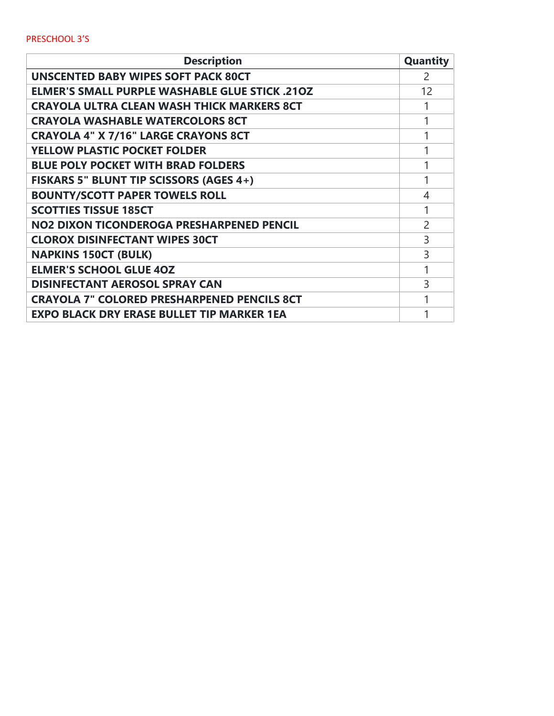| <b>Description</b>                                    | Quantity       |
|-------------------------------------------------------|----------------|
| <b>UNSCENTED BABY WIPES SOFT PACK 80CT</b>            | 2              |
| <b>ELMER'S SMALL PURPLE WASHABLE GLUE STICK .210Z</b> | 12             |
| <b>CRAYOLA ULTRA CLEAN WASH THICK MARKERS 8CT</b>     |                |
| <b>CRAYOLA WASHABLE WATERCOLORS 8CT</b>               | 1              |
| <b>CRAYOLA 4" X 7/16" LARGE CRAYONS 8CT</b>           | 1              |
| <b>YELLOW PLASTIC POCKET FOLDER</b>                   | 1              |
| <b>BLUE POLY POCKET WITH BRAD FOLDERS</b>             | 1              |
| <b>FISKARS 5" BLUNT TIP SCISSORS (AGES 4+)</b>        | 1              |
| <b>BOUNTY/SCOTT PAPER TOWELS ROLL</b>                 | 4              |
| <b>SCOTTIES TISSUE 185CT</b>                          | 1              |
| NO2 DIXON TICONDEROGA PRESHARPENED PENCIL             | $\overline{2}$ |
| <b>CLOROX DISINFECTANT WIPES 30CT</b>                 | 3              |
| <b>NAPKINS 150CT (BULK)</b>                           | 3              |
| <b>ELMER'S SCHOOL GLUE 40Z</b>                        | 1              |
| <b>DISINFECTANT AEROSOL SPRAY CAN</b>                 | 3              |
| <b>CRAYOLA 7" COLORED PRESHARPENED PENCILS 8CT</b>    | 1              |
| <b>EXPO BLACK DRY ERASE BULLET TIP MARKER 1EA</b>     |                |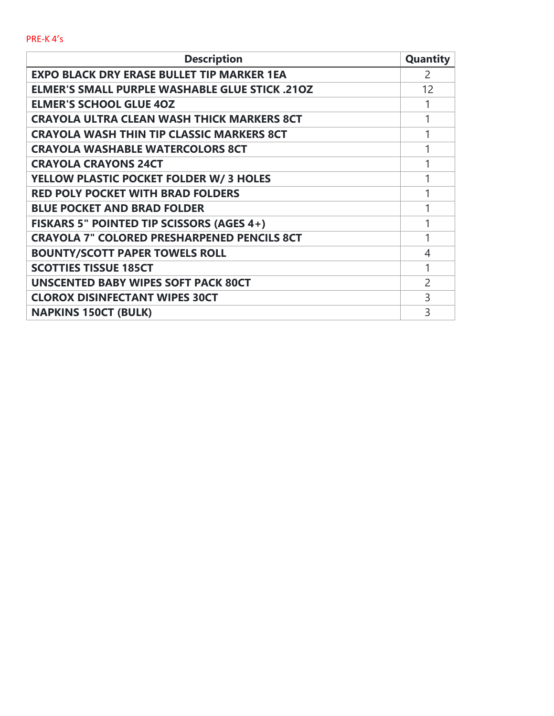| <b>Description</b>                                    | <b>Quantity</b> |
|-------------------------------------------------------|-----------------|
| <b>EXPO BLACK DRY ERASE BULLET TIP MARKER 1EA</b>     | 2               |
| <b>ELMER'S SMALL PURPLE WASHABLE GLUE STICK .210Z</b> | 12              |
| <b>ELMER'S SCHOOL GLUE 40Z</b>                        | 1               |
| <b>CRAYOLA ULTRA CLEAN WASH THICK MARKERS 8CT</b>     | 1               |
| <b>CRAYOLA WASH THIN TIP CLASSIC MARKERS 8CT</b>      | 1               |
| <b>CRAYOLA WASHABLE WATERCOLORS 8CT</b>               | 1               |
| <b>CRAYOLA CRAYONS 24CT</b>                           | 1               |
| YELLOW PLASTIC POCKET FOLDER W/ 3 HOLES               | 1               |
| <b>RED POLY POCKET WITH BRAD FOLDERS</b>              | $\mathbf{1}$    |
| <b>BLUE POCKET AND BRAD FOLDER</b>                    | 1               |
| <b>FISKARS 5" POINTED TIP SCISSORS (AGES 4+)</b>      | 1               |
| <b>CRAYOLA 7" COLORED PRESHARPENED PENCILS 8CT</b>    | 1               |
| <b>BOUNTY/SCOTT PAPER TOWELS ROLL</b>                 | 4               |
| <b>SCOTTIES TISSUE 185CT</b>                          | 1               |
| <b>UNSCENTED BABY WIPES SOFT PACK 80CT</b>            | 2               |
| <b>CLOROX DISINFECTANT WIPES 30CT</b>                 | 3               |
| <b>NAPKINS 150CT (BULK)</b>                           | 3               |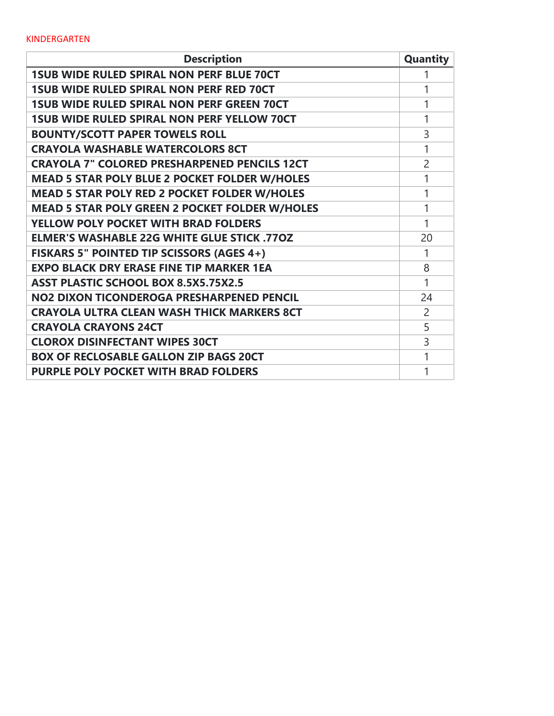| <b>Description</b>                                    | <b>Quantity</b> |
|-------------------------------------------------------|-----------------|
| <b>1SUB WIDE RULED SPIRAL NON PERF BLUE 70CT</b>      | 1               |
| <b>1SUB WIDE RULED SPIRAL NON PERF RED 70CT</b>       | 1               |
| <b>1SUB WIDE RULED SPIRAL NON PERF GREEN 70CT</b>     | 1               |
| <b>1SUB WIDE RULED SPIRAL NON PERF YELLOW 70CT</b>    | 1               |
| <b>BOUNTY/SCOTT PAPER TOWELS ROLL</b>                 | 3               |
| <b>CRAYOLA WASHABLE WATERCOLORS 8CT</b>               | $\mathbf{1}$    |
| <b>CRAYOLA 7" COLORED PRESHARPENED PENCILS 12CT</b>   | $\overline{2}$  |
| <b>MEAD 5 STAR POLY BLUE 2 POCKET FOLDER W/HOLES</b>  | 1               |
| <b>MEAD 5 STAR POLY RED 2 POCKET FOLDER W/HOLES</b>   | 1               |
| <b>MEAD 5 STAR POLY GREEN 2 POCKET FOLDER W/HOLES</b> | 1               |
| <b>YELLOW POLY POCKET WITH BRAD FOLDERS</b>           | 1               |
| <b>ELMER'S WASHABLE 22G WHITE GLUE STICK .770Z</b>    | 20              |
| <b>FISKARS 5" POINTED TIP SCISSORS (AGES 4+)</b>      | 1               |
| <b>EXPO BLACK DRY ERASE FINE TIP MARKER 1EA</b>       | 8               |
| <b>ASST PLASTIC SCHOOL BOX 8.5X5.75X2.5</b>           | 1               |
| NO2 DIXON TICONDEROGA PRESHARPENED PENCIL             | 24              |
| <b>CRAYOLA ULTRA CLEAN WASH THICK MARKERS 8CT</b>     | $\overline{2}$  |
| <b>CRAYOLA CRAYONS 24CT</b>                           | 5               |
| <b>CLOROX DISINFECTANT WIPES 30CT</b>                 | 3               |
| <b>BOX OF RECLOSABLE GALLON ZIP BAGS 20CT</b>         | 1               |
| <b>PURPLE POLY POCKET WITH BRAD FOLDERS</b>           | 1               |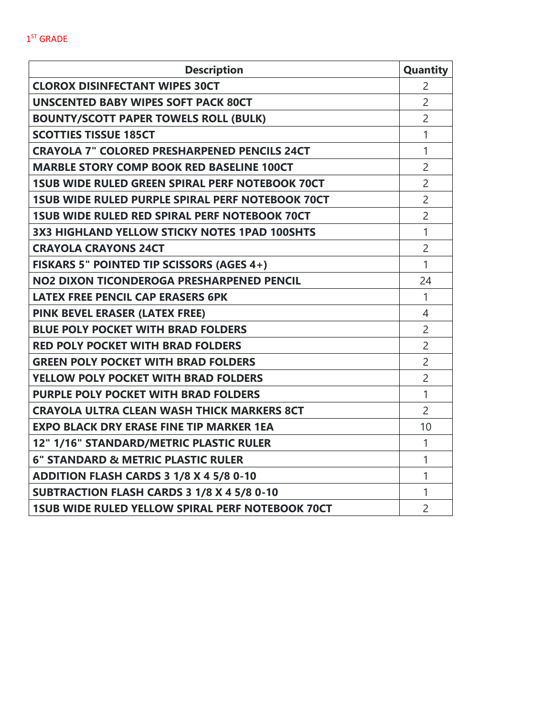| <b>Description</b>                                      | Quantity       |
|---------------------------------------------------------|----------------|
| <b>CLOROX DISINFECTANT WIPES 30CT</b>                   | $\overline{2}$ |
| <b>UNSCENTED BABY WIPES SOFT PACK 80CT</b>              | $\overline{2}$ |
| <b>BOUNTY/SCOTT PAPER TOWELS ROLL (BULK)</b>            | $\overline{2}$ |
| <b>SCOTTIES TISSUE 185CT</b>                            | $\mathbf{1}$   |
| <b>CRAYOLA 7" COLORED PRESHARPENED PENCILS 24CT</b>     | $\mathbf{1}$   |
| <b>MARBLE STORY COMP BOOK RED BASELINE 100CT</b>        | $\overline{2}$ |
| <b>1SUB WIDE RULED GREEN SPIRAL PERF NOTEBOOK 70CT</b>  | $\overline{2}$ |
| <b>1SUB WIDE RULED PURPLE SPIRAL PERF NOTEBOOK 70CT</b> | $\overline{2}$ |
| <b>1SUB WIDE RULED RED SPIRAL PERF NOTEBOOK 70CT</b>    | $\overline{2}$ |
| <b>3X3 HIGHLAND YELLOW STICKY NOTES 1PAD 100SHTS</b>    | $\mathbf{1}$   |
| <b>CRAYOLA CRAYONS 24CT</b>                             | $\overline{2}$ |
| <b>FISKARS 5" POINTED TIP SCISSORS (AGES 4+)</b>        | $\mathbf{1}$   |
| NO2 DIXON TICONDEROGA PRESHARPENED PENCIL               | 24             |
| <b>LATEX FREE PENCIL CAP ERASERS 6PK</b>                | $\mathbf{1}$   |
| PINK BEVEL ERASER (LATEX FREE)                          | $\overline{4}$ |
| <b>BLUE POLY POCKET WITH BRAD FOLDERS</b>               | $\overline{2}$ |
| <b>RED POLY POCKET WITH BRAD FOLDERS</b>                | $\overline{2}$ |
| <b>GREEN POLY POCKET WITH BRAD FOLDERS</b>              | $\overline{2}$ |
| <b>YELLOW POLY POCKET WITH BRAD FOLDERS</b>             | $\overline{2}$ |
| <b>PURPLE POLY POCKET WITH BRAD FOLDERS</b>             | $\mathbf{1}$   |
| <b>CRAYOLA ULTRA CLEAN WASH THICK MARKERS 8CT</b>       | $\overline{2}$ |
| <b>EXPO BLACK DRY ERASE FINE TIP MARKER 1EA</b>         | 10             |
| 12" 1/16" STANDARD/METRIC PLASTIC RULER                 | $\mathbf{1}$   |
| <b>6" STANDARD &amp; METRIC PLASTIC RULER</b>           | $\mathbf{1}$   |

**ADDITION FLASH CARDS 3 1/8 X 4 5/8 0-10** 1 **SUBTRACTION FLASH CARDS 3 1/8 X 4 5/8 0-10** 1 **1SUB WIDE RULED YELLOW SPIRAL PERF NOTEBOOK 70CT** 2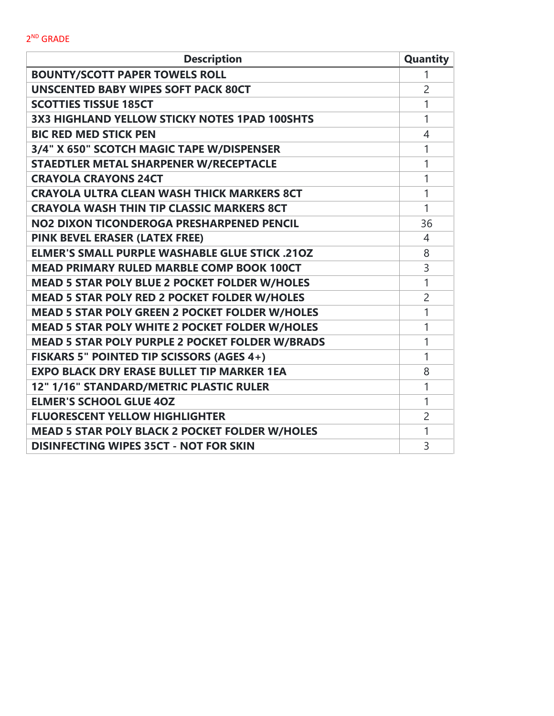2 ND GRADE

| <b>Description</b>                                     | Quantity       |
|--------------------------------------------------------|----------------|
| <b>BOUNTY/SCOTT PAPER TOWELS ROLL</b>                  | 1              |
| <b>UNSCENTED BABY WIPES SOFT PACK 80CT</b>             | $\overline{2}$ |
| <b>SCOTTIES TISSUE 185CT</b>                           | $\mathbf{1}$   |
| 3X3 HIGHLAND YELLOW STICKY NOTES 1PAD 100SHTS          | 1              |
| <b>BIC RED MED STICK PEN</b>                           | 4              |
| 3/4" X 650" SCOTCH MAGIC TAPE W/DISPENSER              | 1              |
| STAEDTLER METAL SHARPENER W/RECEPTACLE                 | 1              |
| <b>CRAYOLA CRAYONS 24CT</b>                            | 1              |
| <b>CRAYOLA ULTRA CLEAN WASH THICK MARKERS 8CT</b>      | 1              |
| <b>CRAYOLA WASH THIN TIP CLASSIC MARKERS 8CT</b>       | 1              |
| NO2 DIXON TICONDEROGA PRESHARPENED PENCIL              | 36             |
| <b>PINK BEVEL ERASER (LATEX FREE)</b>                  | 4              |
| <b>ELMER'S SMALL PURPLE WASHABLE GLUE STICK .210Z</b>  | 8              |
| <b>MEAD PRIMARY RULED MARBLE COMP BOOK 100CT</b>       | 3              |
| <b>MEAD 5 STAR POLY BLUE 2 POCKET FOLDER W/HOLES</b>   | 1              |
| <b>MEAD 5 STAR POLY RED 2 POCKET FOLDER W/HOLES</b>    | $\overline{2}$ |
| <b>MEAD 5 STAR POLY GREEN 2 POCKET FOLDER W/HOLES</b>  | 1              |
| MEAD 5 STAR POLY WHITE 2 POCKET FOLDER W/HOLES         | 1              |
| <b>MEAD 5 STAR POLY PURPLE 2 POCKET FOLDER W/BRADS</b> | 1              |
| <b>FISKARS 5" POINTED TIP SCISSORS (AGES 4+)</b>       | 1              |
| <b>EXPO BLACK DRY ERASE BULLET TIP MARKER 1EA</b>      | 8              |
| 12" 1/16" STANDARD/METRIC PLASTIC RULER                | 1              |
| <b>ELMER'S SCHOOL GLUE 40Z</b>                         | 1              |
| <b>FLUORESCENT YELLOW HIGHLIGHTER</b>                  | $\overline{2}$ |
| <b>MEAD 5 STAR POLY BLACK 2 POCKET FOLDER W/HOLES</b>  | 1              |
| <b>DISINFECTING WIPES 35CT - NOT FOR SKIN</b>          | 3              |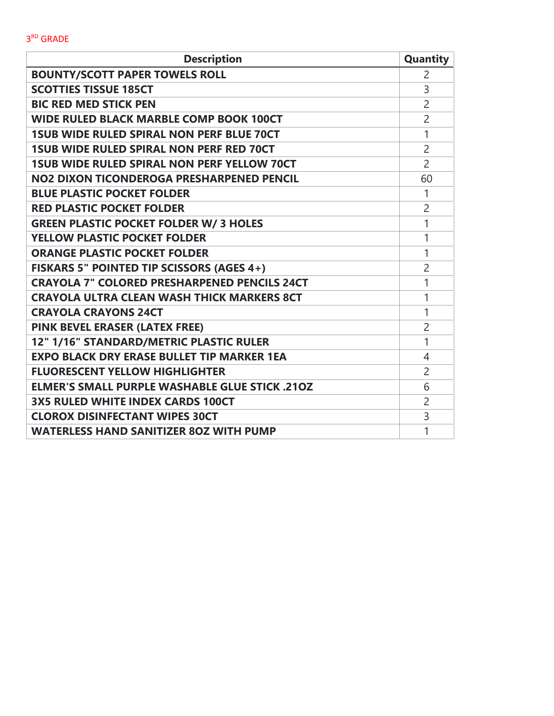3 RD GRADE

| <b>Description</b>                                    | <b>Quantity</b> |
|-------------------------------------------------------|-----------------|
| <b>BOUNTY/SCOTT PAPER TOWELS ROLL</b>                 | $\overline{2}$  |
| <b>SCOTTIES TISSUE 185CT</b>                          | 3               |
| <b>BIC RED MED STICK PEN</b>                          | $\overline{2}$  |
| <b>WIDE RULED BLACK MARBLE COMP BOOK 100CT</b>        | $\overline{2}$  |
| <b>1SUB WIDE RULED SPIRAL NON PERF BLUE 70CT</b>      | $\mathbf{1}$    |
| <b>1SUB WIDE RULED SPIRAL NON PERF RED 70CT</b>       | $\overline{2}$  |
| <b>1SUB WIDE RULED SPIRAL NON PERF YELLOW 70CT</b>    | $\overline{2}$  |
| NO2 DIXON TICONDEROGA PRESHARPENED PENCIL             | 60              |
| <b>BLUE PLASTIC POCKET FOLDER</b>                     | $\mathbf{1}$    |
| <b>RED PLASTIC POCKET FOLDER</b>                      | $\overline{2}$  |
| <b>GREEN PLASTIC POCKET FOLDER W/3 HOLES</b>          | 1               |
| <b>YELLOW PLASTIC POCKET FOLDER</b>                   | 1               |
| <b>ORANGE PLASTIC POCKET FOLDER</b>                   | 1               |
| <b>FISKARS 5" POINTED TIP SCISSORS (AGES 4+)</b>      | $\overline{2}$  |
| <b>CRAYOLA 7" COLORED PRESHARPENED PENCILS 24CT</b>   | 1               |
| <b>CRAYOLA ULTRA CLEAN WASH THICK MARKERS 8CT</b>     | 1               |
| <b>CRAYOLA CRAYONS 24CT</b>                           | 1               |
| PINK BEVEL ERASER (LATEX FREE)                        | $\overline{2}$  |
| 12" 1/16" STANDARD/METRIC PLASTIC RULER               | 1               |
| <b>EXPO BLACK DRY ERASE BULLET TIP MARKER 1EA</b>     | 4               |
| <b>FLUORESCENT YELLOW HIGHLIGHTER</b>                 | $\overline{2}$  |
| <b>ELMER'S SMALL PURPLE WASHABLE GLUE STICK .210Z</b> | 6               |
| <b>3X5 RULED WHITE INDEX CARDS 100CT</b>              | $\overline{2}$  |
| <b>CLOROX DISINFECTANT WIPES 30CT</b>                 | 3               |
| <b>WATERLESS HAND SANITIZER 80Z WITH PUMP</b>         | 1               |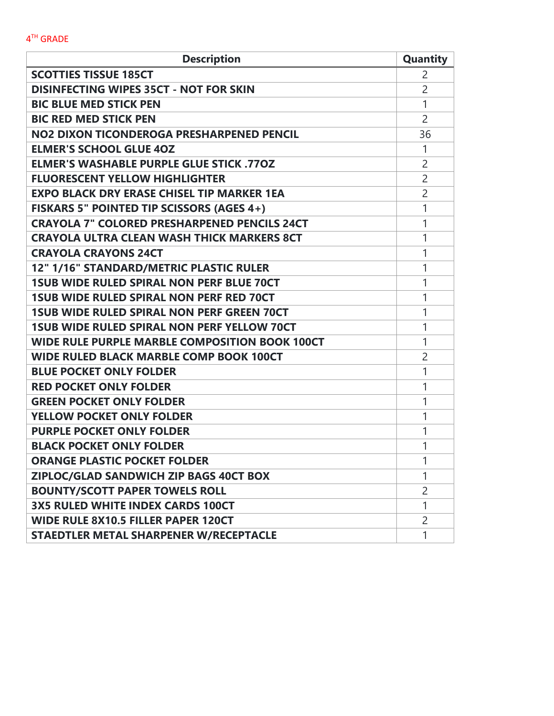| <b>Description</b>                                  | Quantity       |
|-----------------------------------------------------|----------------|
| <b>SCOTTIES TISSUE 185CT</b>                        | 2              |
| <b>DISINFECTING WIPES 35CT - NOT FOR SKIN</b>       | $\overline{2}$ |
| <b>BIC BLUE MED STICK PEN</b>                       | 1              |
| <b>BIC RED MED STICK PEN</b>                        | $\overline{2}$ |
| NO2 DIXON TICONDEROGA PRESHARPENED PENCIL           | 36             |
| <b>ELMER'S SCHOOL GLUE 40Z</b>                      | 1              |
| <b>ELMER'S WASHABLE PURPLE GLUE STICK .770Z</b>     | $\overline{2}$ |
| <b>FLUORESCENT YELLOW HIGHLIGHTER</b>               | $\overline{2}$ |
| <b>EXPO BLACK DRY ERASE CHISEL TIP MARKER 1EA</b>   | $\overline{2}$ |
| <b>FISKARS 5" POINTED TIP SCISSORS (AGES 4+)</b>    | 1              |
| <b>CRAYOLA 7" COLORED PRESHARPENED PENCILS 24CT</b> | 1              |
| <b>CRAYOLA ULTRA CLEAN WASH THICK MARKERS 8CT</b>   | 1              |
| <b>CRAYOLA CRAYONS 24CT</b>                         | 1              |
| 12" 1/16" STANDARD/METRIC PLASTIC RULER             | 1              |
| <b>1SUB WIDE RULED SPIRAL NON PERF BLUE 70CT</b>    | 1              |
| <b>1SUB WIDE RULED SPIRAL NON PERF RED 70CT</b>     | 1              |
| <b>1SUB WIDE RULED SPIRAL NON PERF GREEN 70CT</b>   | 1              |
| <b>1SUB WIDE RULED SPIRAL NON PERF YELLOW 70CT</b>  | 1              |
| WIDE RULE PURPLE MARBLE COMPOSITION BOOK 100CT      | 1              |
| <b>WIDE RULED BLACK MARBLE COMP BOOK 100CT</b>      | $\overline{2}$ |
| <b>BLUE POCKET ONLY FOLDER</b>                      | 1              |
| <b>RED POCKET ONLY FOLDER</b>                       | 1              |
| <b>GREEN POCKET ONLY FOLDER</b>                     | 1              |
| <b>YELLOW POCKET ONLY FOLDER</b>                    | 1              |
| <b>PURPLE POCKET ONLY FOLDER</b>                    | 1              |
| <b>BLACK POCKET ONLY FOLDER</b>                     | 1              |
| <b>ORANGE PLASTIC POCKET FOLDER</b>                 |                |
| ZIPLOC/GLAD SANDWICH ZIP BAGS 40CT BOX              | 1              |
| <b>BOUNTY/SCOTT PAPER TOWELS ROLL</b>               | $\overline{2}$ |
| <b>3X5 RULED WHITE INDEX CARDS 100CT</b>            | 1              |
| <b>WIDE RULE 8X10.5 FILLER PAPER 120CT</b>          | $\overline{2}$ |
| STAEDTLER METAL SHARPENER W/RECEPTACLE              | 1              |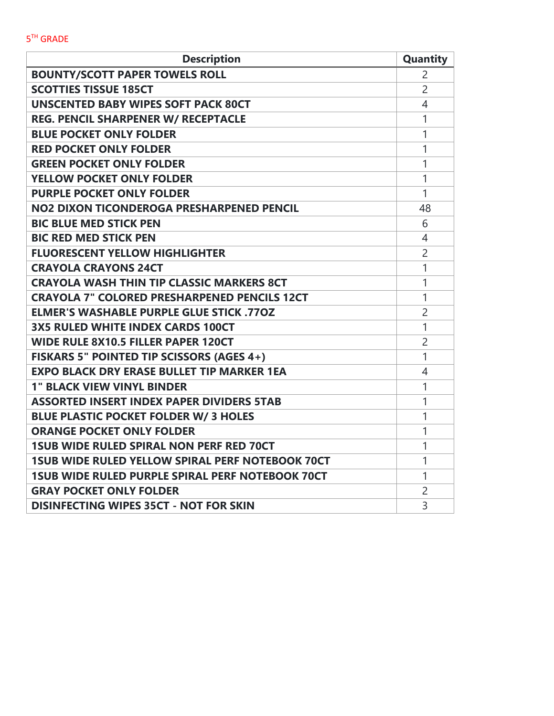| <b>Description</b>                                      | <b>Quantity</b> |
|---------------------------------------------------------|-----------------|
| <b>BOUNTY/SCOTT PAPER TOWELS ROLL</b>                   | $\overline{2}$  |
| <b>SCOTTIES TISSUE 185CT</b>                            | $\overline{2}$  |
| <b>UNSCENTED BABY WIPES SOFT PACK 80CT</b>              | $\overline{4}$  |
| <b>REG. PENCIL SHARPENER W/ RECEPTACLE</b>              | 1               |
| <b>BLUE POCKET ONLY FOLDER</b>                          | 1               |
| <b>RED POCKET ONLY FOLDER</b>                           | 1               |
| <b>GREEN POCKET ONLY FOLDER</b>                         | 1               |
| <b>YELLOW POCKET ONLY FOLDER</b>                        | 1               |
| <b>PURPLE POCKET ONLY FOLDER</b>                        | 1               |
| NO2 DIXON TICONDEROGA PRESHARPENED PENCIL               | 48              |
| <b>BIC BLUE MED STICK PEN</b>                           | 6               |
| <b>BIC RED MED STICK PEN</b>                            | $\overline{4}$  |
| <b>FLUORESCENT YELLOW HIGHLIGHTER</b>                   | $\overline{2}$  |
| <b>CRAYOLA CRAYONS 24CT</b>                             | 1               |
| <b>CRAYOLA WASH THIN TIP CLASSIC MARKERS 8CT</b>        | 1               |
| <b>CRAYOLA 7" COLORED PRESHARPENED PENCILS 12CT</b>     | 1               |
| ELMER'S WASHABLE PURPLE GLUE STICK .770Z                | $\overline{2}$  |
| <b>3X5 RULED WHITE INDEX CARDS 100CT</b>                | 1               |
| <b>WIDE RULE 8X10.5 FILLER PAPER 120CT</b>              | $\overline{2}$  |
| <b>FISKARS 5" POINTED TIP SCISSORS (AGES 4+)</b>        | 1               |
| <b>EXPO BLACK DRY ERASE BULLET TIP MARKER 1EA</b>       | 4               |
| <b>1" BLACK VIEW VINYL BINDER</b>                       | 1               |
| <b>ASSORTED INSERT INDEX PAPER DIVIDERS 5TAB</b>        | 1               |
| <b>BLUE PLASTIC POCKET FOLDER W/ 3 HOLES</b>            | 1               |
| <b>ORANGE POCKET ONLY FOLDER</b>                        | 1               |
| 1SUB WIDE RULED SPIRAL NON PERF RED 70CT                | 1               |
| <b>1SUB WIDE RULED YELLOW SPIRAL PERF NOTEBOOK 70CT</b> | 1               |
| <b>1SUB WIDE RULED PURPLE SPIRAL PERF NOTEBOOK 70CT</b> | 1               |
| <b>GRAY POCKET ONLY FOLDER</b>                          | $\overline{2}$  |
| <b>DISINFECTING WIPES 35CT - NOT FOR SKIN</b>           | 3               |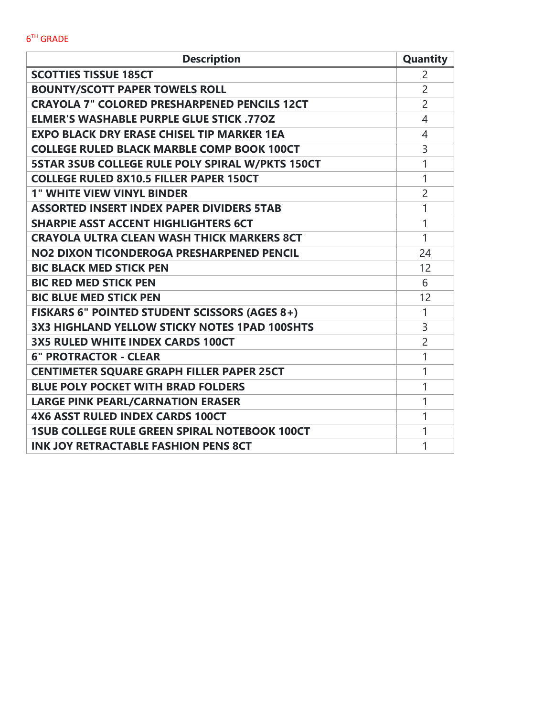| <b>Description</b>                                   | Quantity       |
|------------------------------------------------------|----------------|
| <b>SCOTTIES TISSUE 185CT</b>                         | $\overline{2}$ |
| <b>BOUNTY/SCOTT PAPER TOWELS ROLL</b>                | $\overline{2}$ |
| <b>CRAYOLA 7" COLORED PRESHARPENED PENCILS 12CT</b>  | $\overline{2}$ |
| <b>ELMER'S WASHABLE PURPLE GLUE STICK .770Z</b>      | 4              |
| <b>EXPO BLACK DRY ERASE CHISEL TIP MARKER 1EA</b>    | $\overline{4}$ |
| <b>COLLEGE RULED BLACK MARBLE COMP BOOK 100CT</b>    | 3              |
| 5STAR 3SUB COLLEGE RULE POLY SPIRAL W/PKTS 150CT     | 1              |
| <b>COLLEGE RULED 8X10.5 FILLER PAPER 150CT</b>       | 1              |
| <b>1" WHITE VIEW VINYL BINDER</b>                    | $\overline{2}$ |
| <b>ASSORTED INSERT INDEX PAPER DIVIDERS 5TAB</b>     | 1              |
| <b>SHARPIE ASST ACCENT HIGHLIGHTERS 6CT</b>          | 1              |
| <b>CRAYOLA ULTRA CLEAN WASH THICK MARKERS 8CT</b>    | 1              |
| NO2 DIXON TICONDEROGA PRESHARPENED PENCIL            | 24             |
| <b>BIC BLACK MED STICK PEN</b>                       | 12             |
| <b>BIC RED MED STICK PEN</b>                         | 6              |
| <b>BIC BLUE MED STICK PEN</b>                        | 12             |
| FISKARS 6" POINTED STUDENT SCISSORS (AGES 8+)        | 1              |
| 3X3 HIGHLAND YELLOW STICKY NOTES 1PAD 100SHTS        | 3              |
| <b>3X5 RULED WHITE INDEX CARDS 100CT</b>             | $\overline{2}$ |
| <b>6" PROTRACTOR - CLEAR</b>                         | 1              |
| <b>CENTIMETER SQUARE GRAPH FILLER PAPER 25CT</b>     | 1              |
| <b>BLUE POLY POCKET WITH BRAD FOLDERS</b>            | 1              |
| <b>LARGE PINK PEARL/CARNATION ERASER</b>             | 1              |
| <b>4X6 ASST RULED INDEX CARDS 100CT</b>              | 1              |
| <b>1SUB COLLEGE RULE GREEN SPIRAL NOTEBOOK 100CT</b> | 1              |
| <b>INK JOY RETRACTABLE FASHION PENS 8CT</b>          | 1              |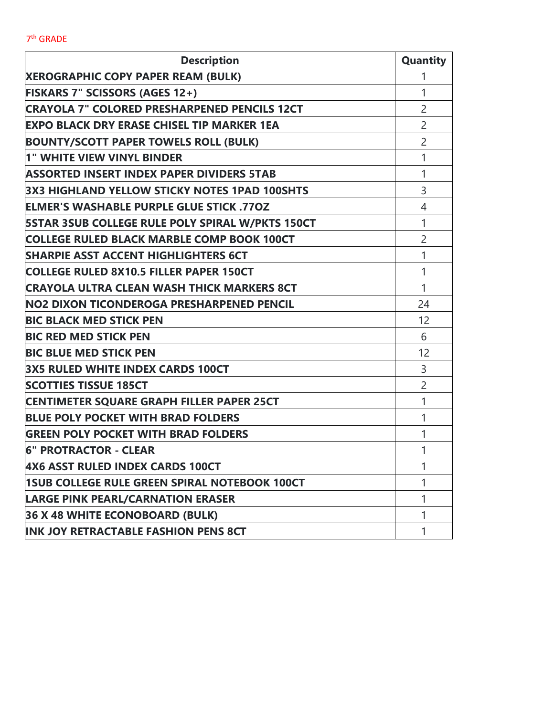7<sup>th</sup> GRADE

| <b>Description</b>                                      | <b>Quantity</b> |
|---------------------------------------------------------|-----------------|
| <b>XEROGRAPHIC COPY PAPER REAM (BULK)</b>               | 1               |
| <b>FISKARS 7" SCISSORS (AGES 12+)</b>                   | 1               |
| <b>CRAYOLA 7" COLORED PRESHARPENED PENCILS 12CT</b>     | $\overline{2}$  |
| <b>EXPO BLACK DRY ERASE CHISEL TIP MARKER 1EA</b>       | $\overline{2}$  |
| <b>BOUNTY/SCOTT PAPER TOWELS ROLL (BULK)</b>            | $\overline{2}$  |
| 1" WHITE VIEW VINYL BINDER                              | 1               |
| <b>ASSORTED INSERT INDEX PAPER DIVIDERS 5TAB</b>        | 1               |
| 3X3 HIGHLAND YELLOW STICKY NOTES 1PAD 100SHTS           | 3               |
| <b>ELMER'S WASHABLE PURPLE GLUE STICK .770Z</b>         | 4               |
| <b>5STAR 3SUB COLLEGE RULE POLY SPIRAL W/PKTS 150CT</b> | 1               |
| <b>COLLEGE RULED BLACK MARBLE COMP BOOK 100CT</b>       | $\overline{2}$  |
| <b>SHARPIE ASST ACCENT HIGHLIGHTERS 6CT</b>             | 1               |
| <b>COLLEGE RULED 8X10.5 FILLER PAPER 150CT</b>          | 1               |
| <b>CRAYOLA ULTRA CLEAN WASH THICK MARKERS 8CT</b>       | 1               |
| NO2 DIXON TICONDEROGA PRESHARPENED PENCIL               | 24              |
| <b>BIC BLACK MED STICK PEN</b>                          | 12              |
| <b>BIC RED MED STICK PEN</b>                            | 6               |
| <b>BIC BLUE MED STICK PEN</b>                           | 12              |
| <b>3X5 RULED WHITE INDEX CARDS 100CT</b>                | 3               |
| <b>SCOTTIES TISSUE 185CT</b>                            | $\overline{2}$  |
| <b>CENTIMETER SQUARE GRAPH FILLER PAPER 25CT</b>        | 1               |
| <b>BLUE POLY POCKET WITH BRAD FOLDERS</b>               | 1               |
| <b>GREEN POLY POCKET WITH BRAD FOLDERS</b>              | 1               |
| <b>6" PROTRACTOR - CLEAR</b>                            | $\mathbf{1}$    |
| <b>4X6 ASST RULED INDEX CARDS 100CT</b>                 |                 |
| <b>1988 COLLEGE RULE GREEN SPIRAL NOTEBOOK 100CT</b>    | 1               |
| <b>LARGE PINK PEARL/CARNATION ERASER</b>                | 1               |
| 36 X 48 WHITE ECONOBOARD (BULK)                         | 1               |
| <b>INK JOY RETRACTABLE FASHION PENS 8CT</b>             | 1               |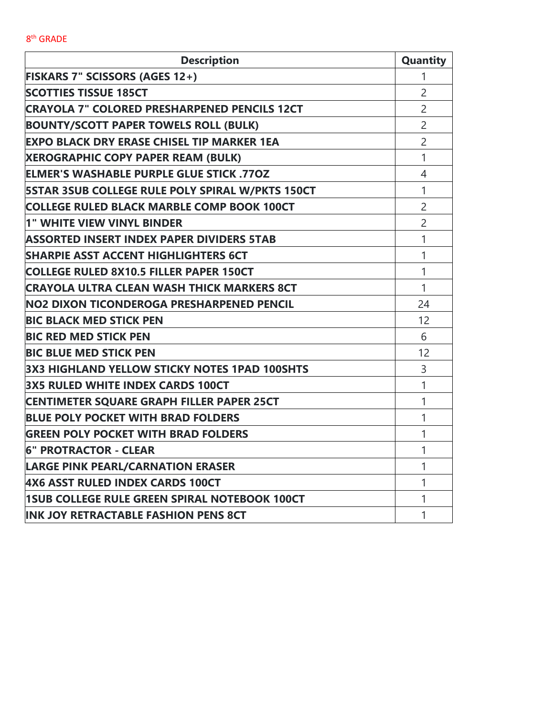8<sup>th</sup> GRADE

| <b>Description</b>                                      | <b>Quantity</b> |
|---------------------------------------------------------|-----------------|
| <b>FISKARS 7" SCISSORS (AGES 12+)</b>                   | 1               |
| <b>SCOTTIES TISSUE 185CT</b>                            | $\overline{2}$  |
| <b>CRAYOLA 7" COLORED PRESHARPENED PENCILS 12CT</b>     | $\overline{2}$  |
| <b>BOUNTY/SCOTT PAPER TOWELS ROLL (BULK)</b>            | $\overline{2}$  |
| <b>EXPO BLACK DRY ERASE CHISEL TIP MARKER 1EA</b>       | $\overline{2}$  |
| <b>XEROGRAPHIC COPY PAPER REAM (BULK)</b>               | 1               |
| <b>ELMER'S WASHABLE PURPLE GLUE STICK .770Z</b>         | $\overline{4}$  |
| <b>5STAR 3SUB COLLEGE RULE POLY SPIRAL W/PKTS 150CT</b> | 1               |
| <b>COLLEGE RULED BLACK MARBLE COMP BOOK 100CT</b>       | $\overline{2}$  |
| 1" WHITE VIEW VINYL BINDER                              | $\overline{2}$  |
| <b>ASSORTED INSERT INDEX PAPER DIVIDERS 5TAB</b>        | 1               |
| <b>SHARPIE ASST ACCENT HIGHLIGHTERS 6CT</b>             | 1               |
| <b>COLLEGE RULED 8X10.5 FILLER PAPER 150CT</b>          | 1               |
| <b>CRAYOLA ULTRA CLEAN WASH THICK MARKERS 8CT</b>       | 1               |
| NO2 DIXON TICONDEROGA PRESHARPENED PENCIL               | 24              |
| <b>BIC BLACK MED STICK PEN</b>                          | 12              |
| <b>BIC RED MED STICK PEN</b>                            | 6               |
| <b>BIC BLUE MED STICK PEN</b>                           | 12              |
| 3X3 HIGHLAND YELLOW STICKY NOTES 1PAD 100SHTS           | 3               |
| <b>3X5 RULED WHITE INDEX CARDS 100CT</b>                | 1               |
| <b>CENTIMETER SQUARE GRAPH FILLER PAPER 25CT</b>        | 1               |
| <b>BLUE POLY POCKET WITH BRAD FOLDERS</b>               | 1               |
| <b>GREEN POLY POCKET WITH BRAD FOLDERS</b>              |                 |
| <b>6" PROTRACTOR - CLEAR</b>                            | 1               |
| <b>LARGE PINK PEARL/CARNATION ERASER</b>                |                 |
| <b>4X6 ASST RULED INDEX CARDS 100CT</b>                 | 1               |
| <b>1SUB COLLEGE RULE GREEN SPIRAL NOTEBOOK 100CT</b>    | 1               |
| <b>INK JOY RETRACTABLE FASHION PENS 8CT</b>             | 1               |